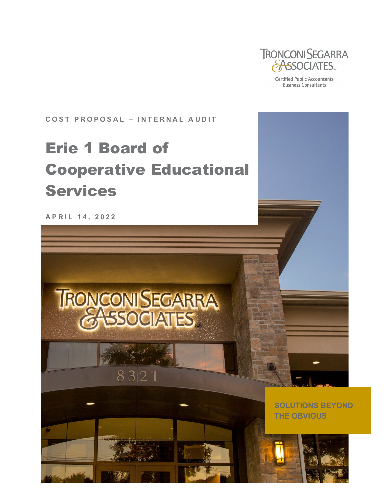

**Certified Public Accountants Business Consultants** 

**COST PROPOSAL – INTERNAL AUDIT** 

# Erie 1 Board of Cooperative Educational Services

**APRIL 1 4 , 202 2**

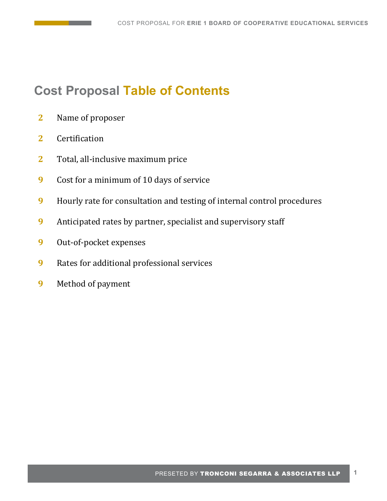# **Cost Proposal Table of Contents**

- **2** Name of proposer
- **2** Certification
- **2** Total, all-inclusive maximum price
- **9** Cost for a minimum of 10 days of service
- **9** Hourly rate for consultation and testing of internal control procedures
- **9** Anticipated rates by partner, specialist and supervisory staff
- **9** Out-of-pocket expenses
- **9** Rates for additional professional services
- **9** Method of payment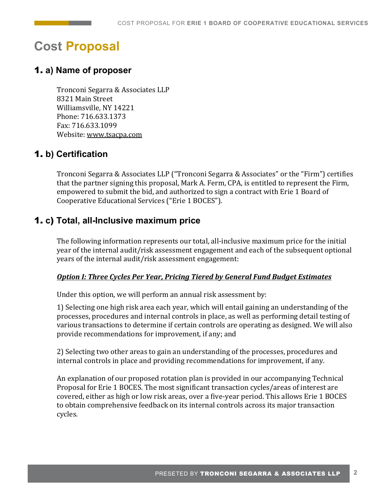# **Cost Proposal**

# 1. **a) Name of proposer**

Tronconi Segarra & Associates LLP 8321 Main Street Williamsville, NY 14221 Phone: 716.633.1373 Fax: 716.633.1099 Website[: www.tsacpa.com](http://www.tsacpa.com/) 

# 1. **b) Certification**

Tronconi Segarra & Associates LLP ("Tronconi Segarra & Associates" or the "Firm") certifies that the partner signing this proposal, Mark A. Ferm, CPA, is entitled to represent the Firm, empowered to submit the bid, and authorized to sign a contract with Erie 1 Board of Cooperative Educational Services ("Erie 1 BOCES").

# 1. **c**) **Total, all-Inclusive maximum price**

The following information represents our total, all-inclusive maximum price for the initial year of the internal audit/risk assessment engagement and each of the subsequent optional years of the internal audit/risk assessment engagement:

#### *Option I: Three Cycles Per Year, Pricing Tiered by General Fund Budget Estimates*

Under this option, we will perform an annual risk assessment by:

1) Selecting one high risk area each year, which will entail gaining an understanding of the processes, procedures and internal controls in place, as well as performing detail testing of various transactions to determine if certain controls are operating as designed. We will also provide recommendations for improvement, if any; and

2) Selecting two other areas to gain an understanding of the processes, procedures and internal controls in place and providing recommendations for improvement, if any.

An explanation of our proposed rotation plan is provided in our accompanying Technical Proposal for Erie 1 BOCES. The most significant transaction cycles/areas of interest are covered, either as high or low risk areas, over a five-year period. This allows Erie 1 BOCES to obtain comprehensive feedback on its internal controls across its major transaction cycles.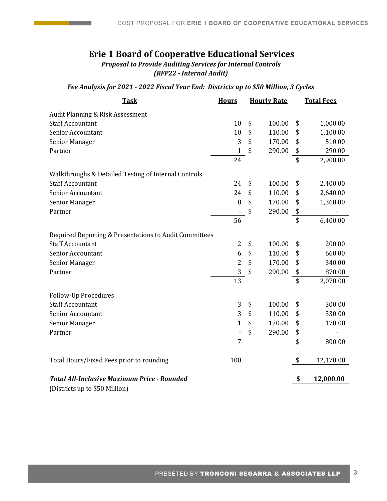# **Erie 1 Board of Cooperative Educational Services**

*Proposal to Provide Auditing Services for Internal Controls (RFP22 - Internal Audit)*

#### *Fee Analysis for 2021 - 2022 Fiscal Year End: Districts up to \$50 Million, 3 Cycles*

| <b>Task</b>                                            | <b>Hours</b>   | <b>Hourly Rate</b> | <b>Total Fees</b> |           |  |
|--------------------------------------------------------|----------------|--------------------|-------------------|-----------|--|
| Audit Planning & Risk Assessment                       |                |                    |                   |           |  |
| <b>Staff Accountant</b>                                | 10             | \$<br>100.00       | \$                | 1,000.00  |  |
| Senior Accountant                                      | 10             | \$<br>110.00       | \$                | 1,100.00  |  |
| Senior Manager                                         | 3              | \$<br>170.00       | \$                | 510.00    |  |
| Partner                                                | $\mathbf{1}$   | \$<br>290.00       | \$                | 290.00    |  |
|                                                        | 24             |                    | $\overline{\$}$   | 2,900.00  |  |
| Walkthroughs & Detailed Testing of Internal Controls   |                |                    |                   |           |  |
| <b>Staff Accountant</b>                                | 24             | \$<br>100.00       | \$                | 2,400.00  |  |
| Senior Accountant                                      | 24             | \$<br>110.00       | \$                | 2,640.00  |  |
| Senior Manager                                         | 8              | \$<br>170.00       | \$                | 1,360.00  |  |
| Partner                                                |                | \$<br>290.00       | \$                |           |  |
|                                                        | 56             |                    | \$                | 6,400.00  |  |
| Required Reporting & Presentations to Audit Committees |                |                    |                   |           |  |
| <b>Staff Accountant</b>                                | 2              | \$<br>100.00       | \$                | 200.00    |  |
| Senior Accountant                                      | 6              | \$<br>110.00       | \$                | 660.00    |  |
| Senior Manager                                         | $\overline{c}$ | \$<br>170.00       | \$                | 340.00    |  |
| Partner                                                | 3              | \$<br>290.00       | \$                | 870.00    |  |
|                                                        | 13             |                    | $\overline{\$}$   | 2,070.00  |  |
| <b>Follow-Up Procedures</b>                            |                |                    |                   |           |  |
| <b>Staff Accountant</b>                                | $\sqrt{3}$     | \$<br>100.00       | \$                | 300.00    |  |
| Senior Accountant                                      | 3              | \$<br>110.00       | \$                | 330.00    |  |
| Senior Manager                                         | $\mathbf{1}$   | \$<br>170.00       | \$                | 170.00    |  |
| Partner                                                |                | \$<br>290.00       | \$                |           |  |
|                                                        | $\overline{7}$ |                    | \$                | 800.00    |  |
| Total Hours/Fixed Fees prior to rounding               | 100            |                    | \$                | 12,170.00 |  |
| <b>Total All-Inclusive Maximum Price - Rounded</b>     |                |                    | \$                | 12,000.00 |  |

(Districts up to \$50 Million)

**The Common**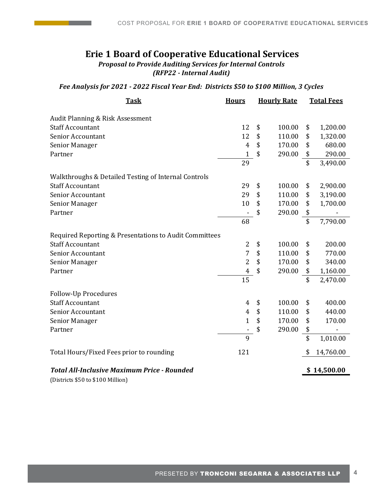# **Erie 1 Board of Cooperative Educational Services**

*Proposal to Provide Auditing Services for Internal Controls (RFP22 - Internal Audit)*

#### *Fee Analysis for 2021 - 2022 Fiscal Year End: Districts \$50 to \$100 Million, 3 Cycles*

| <u>Task</u>                                            | <b>Hours</b>             | <b>Hourly Rate</b> |        | <b>Total Fees</b> |             |
|--------------------------------------------------------|--------------------------|--------------------|--------|-------------------|-------------|
| Audit Planning & Risk Assessment                       |                          |                    |        |                   |             |
| <b>Staff Accountant</b>                                | 12                       | \$                 | 100.00 | \$                | 1,200.00    |
| Senior Accountant                                      | 12                       | \$                 | 110.00 | \$                | 1,320.00    |
| Senior Manager                                         | $\overline{4}$           | \$                 | 170.00 | \$                | 680.00      |
| Partner                                                | $\mathbf{1}$             | \$                 | 290.00 | \$                | 290.00      |
|                                                        | 29                       |                    |        | \$                | 3,490.00    |
| Walkthroughs & Detailed Testing of Internal Controls   |                          |                    |        |                   |             |
| <b>Staff Accountant</b>                                | 29                       | \$                 | 100.00 | \$                | 2,900.00    |
| <b>Senior Accountant</b>                               | 29                       | \$                 | 110.00 | \$                | 3,190.00    |
| Senior Manager                                         | 10                       | \$                 | 170.00 | \$                | 1,700.00    |
| Partner                                                |                          | \$                 | 290.00 | \$                |             |
|                                                        | 68                       |                    |        | \$                | 7,790.00    |
| Required Reporting & Presentations to Audit Committees |                          |                    |        |                   |             |
| <b>Staff Accountant</b>                                | $\overline{2}$           | \$                 | 100.00 | \$                | 200.00      |
| Senior Accountant                                      | $\overline{7}$           | \$                 | 110.00 | \$                | 770.00      |
| Senior Manager                                         | $\overline{2}$           | \$                 | 170.00 | \$                | 340.00      |
| Partner                                                | $\boldsymbol{4}$         | \$                 | 290.00 | \$                | 1,160.00    |
|                                                        | 15                       |                    |        | \$                | 2,470.00    |
| <b>Follow-Up Procedures</b>                            |                          |                    |        |                   |             |
| <b>Staff Accountant</b>                                | 4                        | \$                 | 100.00 | \$                | 400.00      |
| <b>Senior Accountant</b>                               | 4                        | \$                 | 110.00 | \$                | 440.00      |
| Senior Manager                                         | $\mathbf{1}$             | \$                 | 170.00 | \$                | 170.00      |
| Partner                                                | $\overline{\phantom{a}}$ | \$                 | 290.00 | \$                |             |
|                                                        | $\overline{9}$           |                    |        | $\overline{\$}$   | 1,010.00    |
| Total Hours/Fixed Fees prior to rounding               | 121                      |                    |        | \$                | 14,760.00   |
| <b>Total All-Inclusive Maximum Price - Rounded</b>     |                          |                    |        |                   | \$14,500.00 |
|                                                        |                          |                    |        |                   |             |

(Districts \$50 to \$100 Million)

**The Common**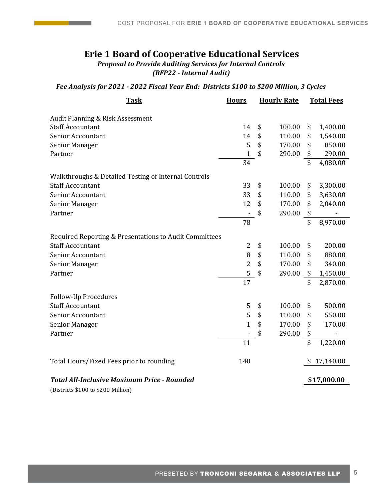# **Erie 1 Board of Cooperative Educational Services** *Proposal to Provide Auditing Services for Internal Controls*

*(RFP22 - Internal Audit)*

#### *Fee Analysis for 2021 - 2022 Fiscal Year End: Districts \$100 to \$200 Million, 3 Cycles*

| <b>Task</b>                                            | <b>Hours</b>             | <b>Hourly Rate</b> |        | <b>Total Fees</b>       |           |
|--------------------------------------------------------|--------------------------|--------------------|--------|-------------------------|-----------|
| <b>Audit Planning &amp; Risk Assessment</b>            |                          |                    |        |                         |           |
| <b>Staff Accountant</b>                                | 14                       | \$                 | 100.00 | \$                      | 1,400.00  |
| <b>Senior Accountant</b>                               | 14                       | \$                 | 110.00 | \$                      | 1,540.00  |
| Senior Manager                                         | 5                        | \$                 | 170.00 | \$                      | 850.00    |
| Partner                                                | $\mathbf{1}$             | \$                 | 290.00 | \$                      | 290.00    |
|                                                        | 34                       |                    |        | $\overline{\mathsf{s}}$ | 4,080.00  |
| Walkthroughs & Detailed Testing of Internal Controls   |                          |                    |        |                         |           |
| <b>Staff Accountant</b>                                | 33                       | \$                 | 100.00 | \$                      | 3,300.00  |
| Senior Accountant                                      | 33                       | \$                 | 110.00 | \$                      | 3,630.00  |
| Senior Manager                                         | 12                       | \$                 | 170.00 | \$                      | 2,040.00  |
| Partner                                                | $\overline{\phantom{a}}$ | \$                 | 290.00 | \$                      |           |
|                                                        | 78                       |                    |        | \$                      | 8,970.00  |
| Required Reporting & Presentations to Audit Committees |                          |                    |        |                         |           |
| <b>Staff Accountant</b>                                | $\overline{2}$           | \$                 | 100.00 | \$                      | 200.00    |
| <b>Senior Accountant</b>                               | 8                        | \$                 | 110.00 | \$                      | 880.00    |
| Senior Manager                                         | $\overline{c}$           | \$                 | 170.00 | \$                      | 340.00    |
| Partner                                                | 5                        | \$                 | 290.00 | \$                      | 1,450.00  |
|                                                        | 17                       |                    |        | \$                      | 2,870.00  |
| <b>Follow-Up Procedures</b>                            |                          |                    |        |                         |           |
| <b>Staff Accountant</b>                                | 5                        | \$                 | 100.00 | \$                      | 500.00    |
| <b>Senior Accountant</b>                               | 5                        | \$                 | 110.00 | \$                      | 550.00    |
| Senior Manager                                         | $\overline{1}$           | \$                 | 170.00 | \$                      | 170.00    |
| Partner                                                |                          | \$                 | 290.00 | \$                      | -         |
|                                                        | 11                       |                    |        | \$                      | 1,220.00  |
| Total Hours/Fixed Fees prior to rounding               | 140                      |                    |        |                         | 17,140.00 |
| <b>Total All-Inclusive Maximum Price - Rounded</b>     |                          |                    |        | \$17,000.00             |           |

(Districts \$100 to \$200 Million)

**The Common**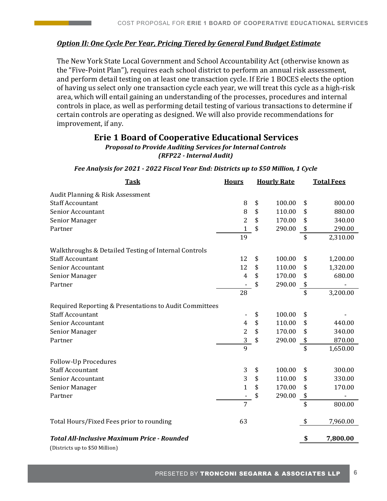#### *Option II: One Cycle Per Year, Pricing Tiered by General Fund Budget Estimate*

The New York State Local Government and School Accountability Act (otherwise known as the "Five-Point Plan"), requires each school district to perform an annual risk assessment, and perform detail testing on at least one transaction cycle. If Erie 1 BOCES elects the option of having us select only one transaction cycle each year, we will treat this cycle as a high-risk area, which will entail gaining an understanding of the processes, procedures and internal controls in place, as well as performing detail testing of various transactions to determine if certain controls are operating as designed. We will also provide recommendations for improvement, if any.

#### **Erie 1 Board of Cooperative Educational Services**

#### *Proposal to Provide Auditing Services for Internal Controls (RFP22 - Internal Audit)*

# *Fee Analysis for 2021 - 2022 Fiscal Year End: Districts up to \$50 Million, 1 Cycle*

| <b>Task</b>                                            | <b>Hours</b>            | <b>Hourly Rate</b> | <b>Total Fees</b> |          |  |
|--------------------------------------------------------|-------------------------|--------------------|-------------------|----------|--|
| Audit Planning & Risk Assessment                       |                         |                    |                   |          |  |
| <b>Staff Accountant</b>                                | 8                       | \$<br>100.00       | \$                | 800.00   |  |
| Senior Accountant                                      | 8                       | \$<br>110.00       | \$                | 880.00   |  |
| Senior Manager                                         | 2                       | \$<br>170.00       | \$                | 340.00   |  |
| Partner                                                | $\mathbf{1}$            | \$<br>290.00       | \$                | 290.00   |  |
|                                                        | 19                      |                    | \$                | 2,310.00 |  |
| Walkthroughs & Detailed Testing of Internal Controls   |                         |                    |                   |          |  |
| <b>Staff Accountant</b>                                | 12                      | \$<br>100.00       | \$                | 1,200.00 |  |
| Senior Accountant                                      | 12                      | \$<br>110.00       | \$                | 1,320.00 |  |
| Senior Manager                                         | 4                       | \$<br>170.00       | \$                | 680.00   |  |
| Partner                                                |                         | \$<br>290.00       | \$                |          |  |
|                                                        | 28                      |                    | \$                | 3,200.00 |  |
| Required Reporting & Presentations to Audit Committees |                         |                    |                   |          |  |
| <b>Staff Accountant</b>                                |                         | \$<br>100.00       | \$                |          |  |
| Senior Accountant                                      | $\overline{4}$          | \$<br>110.00       | \$                | 440.00   |  |
| Senior Manager                                         | $\overline{\mathbf{c}}$ | \$<br>170.00       | \$                | 340.00   |  |
| Partner                                                | 3                       | \$<br>290.00       | \$                | 870.00   |  |
|                                                        | $\overline{9}$          |                    | $\overline{\$}$   | 1,650.00 |  |
| Follow-Up Procedures                                   |                         |                    |                   |          |  |
| <b>Staff Accountant</b>                                | 3                       | \$<br>100.00       | \$                | 300.00   |  |
| Senior Accountant                                      | 3                       | \$<br>110.00       | \$                | 330.00   |  |
| Senior Manager                                         | $\mathbf{1}$            | \$<br>170.00       | \$                | 170.00   |  |
| Partner                                                |                         | \$<br>290.00       | \$                |          |  |
|                                                        | 7                       |                    | \$                | 800.00   |  |
| Total Hours/Fixed Fees prior to rounding               | 63                      |                    | \$                | 7,960.00 |  |
| <b>Total All-Inclusive Maximum Price - Rounded</b>     |                         |                    | \$                | 7,800.00 |  |
|                                                        |                         |                    |                   |          |  |

(Districts up to \$50 Million)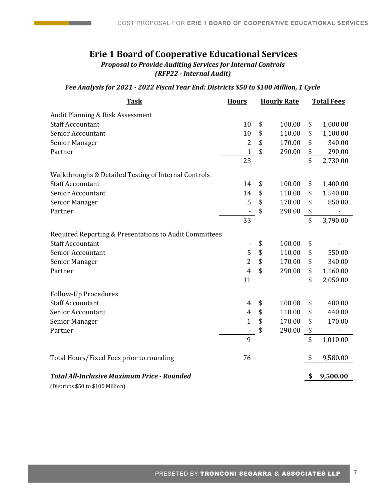### **Erie 1 Board of Cooperative Educational Services** *Proposal to Provide Auditing Services for Internal Controls (RFP22 - Internal Audit)*

#### *Fee Analysis for 2021 - 2022 Fiscal Year End: Districts \$50 to \$100 Million, 1 Cycle*

| <u>Task</u>                                            | <b>Hours</b>            | <b>Hourly Rate</b> |        | <b>Total Fees</b> |          |
|--------------------------------------------------------|-------------------------|--------------------|--------|-------------------|----------|
| Audit Planning & Risk Assessment                       |                         |                    |        |                   |          |
| <b>Staff Accountant</b>                                | 10                      | \$                 | 100.00 | \$                | 1,000.00 |
| Senior Accountant                                      | 10                      | \$                 | 110.00 | \$                | 1,100.00 |
| Senior Manager                                         | 2                       | \$                 | 170.00 | \$                | 340.00   |
| Partner                                                | $\mathbf{1}$            | \$                 | 290.00 | \$                | 290.00   |
|                                                        | 23                      |                    |        | $\overline{\$}$   | 2,730.00 |
| Walkthroughs & Detailed Testing of Internal Controls   |                         |                    |        |                   |          |
| <b>Staff Accountant</b>                                | 14                      | \$                 | 100.00 | \$                | 1,400.00 |
| Senior Accountant                                      | 14                      | \$                 | 110.00 | \$                | 1,540.00 |
| Senior Manager                                         | 5                       | \$                 | 170.00 | \$                | 850.00   |
| Partner                                                |                         | \$                 | 290.00 | \$                |          |
|                                                        | 33                      |                    |        | \$                | 3,790.00 |
| Required Reporting & Presentations to Audit Committees |                         |                    |        |                   |          |
| <b>Staff Accountant</b>                                |                         | \$                 | 100.00 | \$                |          |
| <b>Senior Accountant</b>                               | 5                       | \$                 | 110.00 | \$                | 550.00   |
| Senior Manager                                         | $\overline{c}$          | \$                 | 170.00 | \$                | 340.00   |
| Partner                                                | $\overline{\mathbf{4}}$ | \$                 | 290.00 | \$                | 1,160.00 |
|                                                        | 11                      |                    |        | \$                | 2,050.00 |
| <b>Follow-Up Procedures</b>                            |                         |                    |        |                   |          |
| <b>Staff Accountant</b>                                | 4                       | \$                 | 100.00 | \$                | 400.00   |
| Senior Accountant                                      | $\overline{4}$          | \$                 | 110.00 | \$                | 440.00   |
| Senior Manager                                         | $\mathbf{1}$            | \$                 | 170.00 | \$                | 170.00   |
| Partner                                                | -                       | \$                 | 290.00 | \$                |          |
|                                                        | 9                       |                    |        | \$                | 1,010.00 |
| Total Hours/Fixed Fees prior to rounding               | 76                      |                    |        | \$                | 9,580.00 |
| <b>Total All-Inclusive Maximum Price - Rounded</b>     |                         |                    |        | \$                | 9,500.00 |
|                                                        |                         |                    |        |                   |          |

(Districts \$50 to \$100 Million)

**Contract Contract**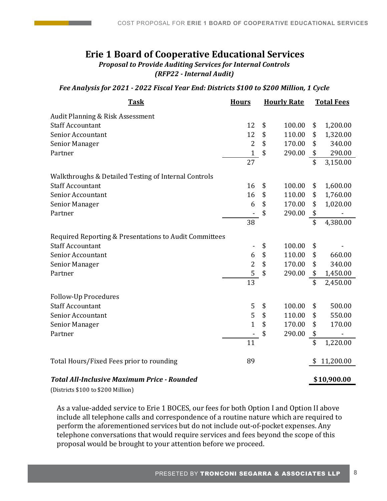## **Erie 1 Board of Cooperative Educational Services** *Proposal to Provide Auditing Services for Internal Controls*

*(RFP22 - Internal Audit)*

#### *Fee Analysis for 2021 - 2022 Fiscal Year End: Districts \$100 to \$200 Million, 1 Cycle*

| <b>Task</b>                                            | <b>Hours</b>    | <b>Hourly Rate</b> |        | <b>Total Fees</b>         |             |
|--------------------------------------------------------|-----------------|--------------------|--------|---------------------------|-------------|
| Audit Planning & Risk Assessment                       |                 |                    |        |                           |             |
| <b>Staff Accountant</b>                                | 12              | \$                 | 100.00 | \$                        | 1,200.00    |
| <b>Senior Accountant</b>                               | 12              | \$                 | 110.00 | \$                        | 1,320.00    |
| Senior Manager                                         | $\overline{2}$  | \$                 | 170.00 | \$                        | 340.00      |
| Partner                                                | $\mathbf{1}$    | \$                 | 290.00 | \$                        | 290.00      |
|                                                        | 27              |                    |        | $\overline{\mathfrak{s}}$ | 3,150.00    |
| Walkthroughs & Detailed Testing of Internal Controls   |                 |                    |        |                           |             |
| <b>Staff Accountant</b>                                | 16              | \$                 | 100.00 | \$                        | 1,600.00    |
| Senior Accountant                                      | 16              | \$                 | 110.00 | \$                        | 1,760.00    |
| <b>Senior Manager</b>                                  | 6               | \$                 | 170.00 | \$                        | 1,020.00    |
| Partner                                                |                 | \$                 | 290.00 | \$                        |             |
|                                                        | 38              |                    |        | \$                        | 4,380.00    |
| Required Reporting & Presentations to Audit Committees |                 |                    |        |                           |             |
| <b>Staff Accountant</b>                                |                 | \$                 | 100.00 | \$                        |             |
| <b>Senior Accountant</b>                               | 6               | \$                 | 110.00 | \$                        | 660.00      |
| Senior Manager                                         | $\overline{2}$  | \$                 | 170.00 | \$                        | 340.00      |
| Partner                                                | $\overline{5}$  | \$                 | 290.00 | \$                        | 1,450.00    |
|                                                        | $\overline{13}$ |                    |        | \$                        | 2,450.00    |
| <b>Follow-Up Procedures</b>                            |                 |                    |        |                           |             |
| <b>Staff Accountant</b>                                | 5               | \$                 | 100.00 | \$                        | 500.00      |
| Senior Accountant                                      | 5               | \$                 | 110.00 | \$                        | 550.00      |
| Senior Manager                                         | $\overline{1}$  | \$                 | 170.00 | \$                        | 170.00      |
| Partner                                                |                 | \$                 | 290.00 | \$                        |             |
|                                                        | 11              |                    |        | $\overline{\$}$           | 1,220.00    |
| Total Hours/Fixed Fees prior to rounding               | 89              |                    |        | \$                        | 11,200.00   |
| <b>Total All-Inclusive Maximum Price - Rounded</b>     |                 |                    |        |                           | \$10.900.00 |

(Districts \$100 to \$200 Million)

As a value-added service to Erie 1 BOCES, our fees for both Option I and Option II above include all telephone calls and correspondence of a routine nature which are required to perform the aforementioned services but do not include out-of-pocket expenses. Any telephone conversations that would require services and fees beyond the scope of this proposal would be brought to your attention before we proceed.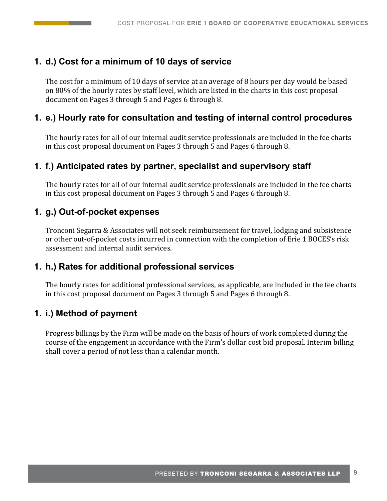# **1. d.) Cost for a minimum of 10 days of service**

The cost for a minimum of 10 days of service at an average of 8 hours per day would be based on 80% of the hourly rates by staff level, which are listed in the charts in this cost proposal document on Pages 3 through 5 and Pages 6 through 8.

# **1. e.) Hourly rate for consultation and testing of internal control procedures**

The hourly rates for all of our internal audit service professionals are included in the fee charts in this cost proposal document on Pages 3 through 5 and Pages 6 through 8.

# **1. f.) Anticipated rates by partner, specialist and supervisory staff**

The hourly rates for all of our internal audit service professionals are included in the fee charts in this cost proposal document on Pages 3 through 5 and Pages 6 through 8.

## **1. g.) Out-of-pocket expenses**

Tronconi Segarra & Associates will not seek reimbursement for travel, lodging and subsistence or other out-of-pocket costs incurred in connection with the completion of Erie 1 BOCES's risk assessment and internal audit services.

### **1. h.) Rates for additional professional services**

The hourly rates for additional professional services, as applicable, are included in the fee charts in this cost proposal document on Pages 3 through 5 and Pages 6 through 8.

# **1. i.) Method of payment**

Progress billings by the Firm will be made on the basis of hours of work completed during the course of the engagement in accordance with the Firm's dollar cost bid proposal. Interim billing shall cover a period of not less than a calendar month.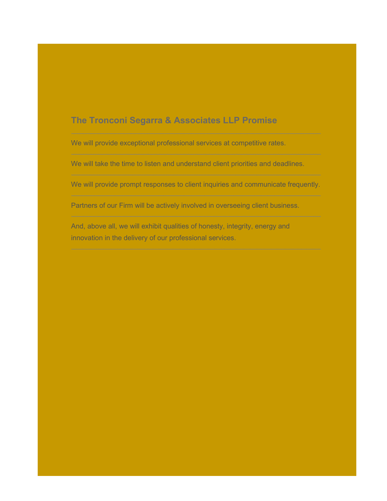# The Tronconi Segarra & Associates LLP Promise

We will provide exceptional professional services at competitive rates.

We will take the time to listen and understand client priorities and deadlines.

We will provide prompt responses to client inquiries and communicate frequently.

Partners of our Firm will be actively involved in overseeing client business.

And, above all, we will exhibit qualities of honesty, integrity, energy and innovation in the delivery of our professional services.